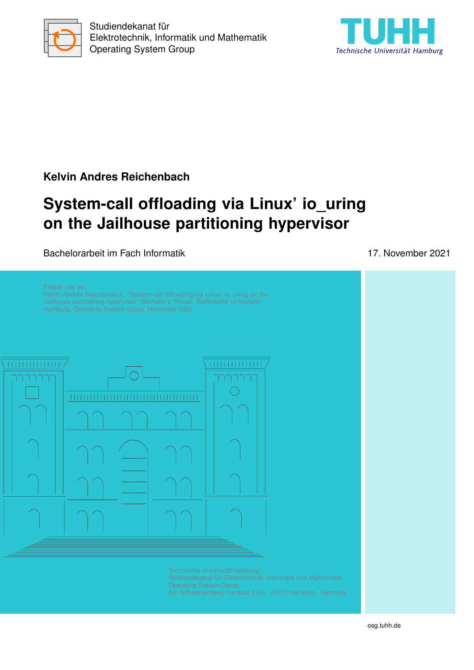



### **Kelvin Andres Reichenbach**

# **System-call offloading via Linux' io\_uring on the Jailhouse partitioning hypervisor**

Bachelorarbeit im Fach Informatik 17. November 2021

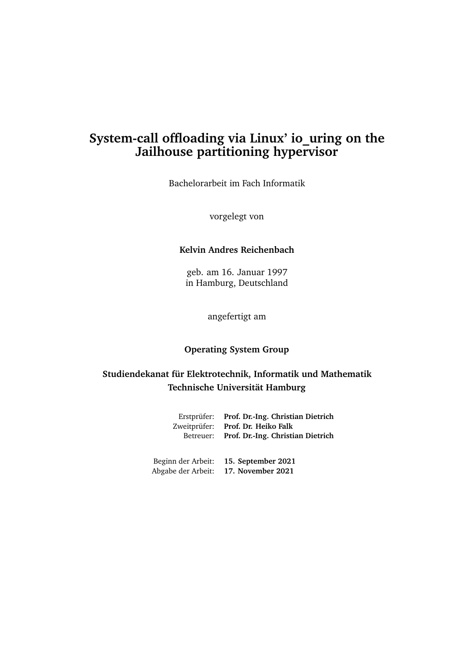### **System-call offloading via Linux' io\_uring on the Jailhouse partitioning hypervisor**

Bachelorarbeit im Fach Informatik

vorgelegt von

#### **Kelvin Andres Reichenbach**

geb. am 16. Januar 1997 in Hamburg, Deutschland

angefertigt am

#### **Operating System Group**

#### **Studiendekanat für Elektrotechnik, Informatik und Mathematik Technische Universität Hamburg**

| Erstprüfer: Prof. Dr.-Ing. Christian Dietrich<br>Zweitprüfer: Prof. Dr. Heiko Falk<br>Betreuer: Prof. Dr.-Ing. Christian Dietrich |
|-----------------------------------------------------------------------------------------------------------------------------------|
| Beginn der Arbeit: 15. September 2021                                                                                             |

Abgabe der Arbeit: **17. November 2021**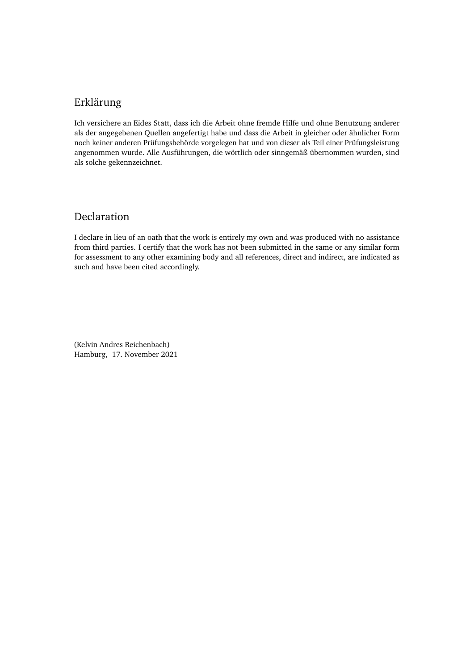### Erklärung

Ich versichere an Eides Statt, dass ich die Arbeit ohne fremde Hilfe und ohne Benutzung anderer als der angegebenen Quellen angefertigt habe und dass die Arbeit in gleicher oder ähnlicher Form noch keiner anderen Prüfungsbehörde vorgelegen hat und von dieser als Teil einer Prüfungsleistung angenommen wurde. Alle Ausführungen, die wörtlich oder sinngemäß übernommen wurden, sind als solche gekennzeichnet.

#### Declaration

I declare in lieu of an oath that the work is entirely my own and was produced with no assistance from third parties. I certify that the work has not been submitted in the same or any similar form for assessment to any other examining body and all references, direct and indirect, are indicated as such and have been cited accordingly.

(Kelvin Andres Reichenbach) Hamburg, 17. November 2021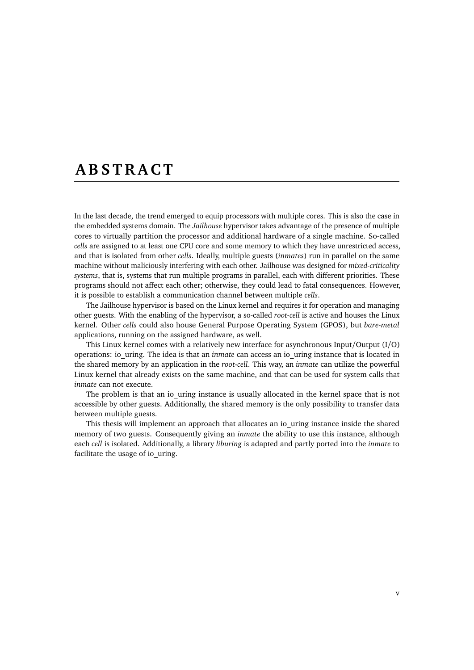## <span id="page-6-0"></span>**A B S T R A C T**

In the last decade, the trend emerged to equip processors with multiple cores. This is also the case in the embedded systems domain. The *Jailhouse* hypervisor takes advantage of the presence of multiple cores to virtually partition the processor and additional hardware of a single machine. So-called *cells* are assigned to at least one CPU core and some memory to which they have unrestricted access, and that is isolated from other *cells*. Ideally, multiple guests (*inmates*) run in parallel on the same machine without maliciously interfering with each other. Jailhouse was designed for *mixed-criticality systems*, that is, systems that run multiple programs in parallel, each with different priorities. These programs should not affect each other; otherwise, they could lead to fatal consequences. However, it is possible to establish a communication channel between multiple *cells*.

The Jailhouse hypervisor is based on the Linux kernel and requires it for operation and managing other guests. With the enabling of the hypervisor, a so-called *root-cell* is active and houses the Linux kernel. Other *cells* could also house General Purpose Operating System [\(GPOS\)](#page-40-0), but *bare-metal* applications, running on the assigned hardware, as well.

This Linux kernel comes with a relatively new interface for asynchronous Input/Output (I/[O\)](#page-40-1) operations: io\_uring. The idea is that an *inmate* can access an io\_uring instance that is located in the shared memory by an application in the *root-cell*. This way, an *inmate* can utilize the powerful Linux kernel that already exists on the same machine, and that can be used for system calls that *inmate* can not execute.

The problem is that an io uring instance is usually allocated in the kernel space that is not accessible by other guests. Additionally, the shared memory is the only possibility to transfer data between multiple guests.

This thesis will implement an approach that allocates an io uring instance inside the shared memory of two guests. Consequently giving an *inmate* the ability to use this instance, although each *cell* is isolated. Additionally, a library *liburing* is adapted and partly ported into the *inmate* to facilitate the usage of io\_uring.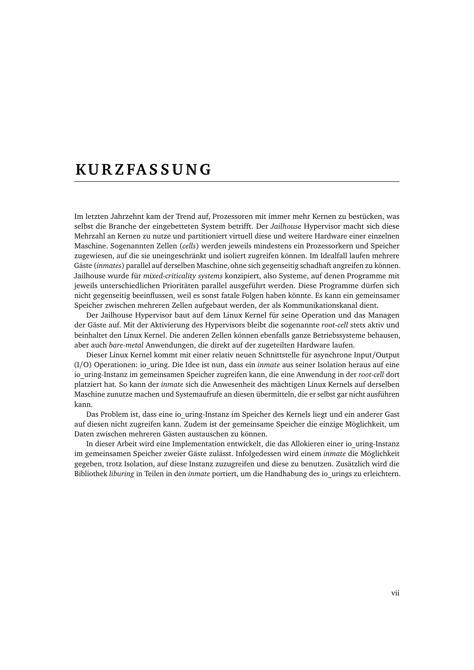## <span id="page-8-0"></span>**KU R Z FA S S U N G**

Im letzten Jahrzehnt kam der Trend auf, Prozessoren mit immer mehr Kernen zu bestücken, was selbst die Branche der eingebetteten System betrifft. Der *Jailhouse* Hypervisor macht sich diese Mehrzahl an Kernen zu nutze und partitioniert virtuell diese und weitere Hardware einer einzelnen Maschine. Sogenannten Zellen (*cells*) werden jeweils mindestens ein Prozessorkern und Speicher zugewiesen, auf die sie uneingeschränkt und isoliert zugreifen können. Im Idealfall laufen mehrere Gäste (*inmates*) parallel auf derselben Maschine, ohne sich gegenseitig schadhaft angreifen zu können. Jailhouse wurde für *mixed-criticality systems* konzipiert, also Systeme, auf denen Programme mit jeweils unterschiedlichen Prioritäten parallel ausgeführt werden. Diese Programme dürfen sich nicht gegenseitig beeinflussen, weil es sonst fatale Folgen haben könnte. Es kann ein gemeinsamer Speicher zwischen mehreren Zellen aufgebaut werden, der als Kommunikationskanal dient.

Der Jailhouse Hypervisor baut auf dem Linux Kernel für seine Operation und das Managen der Gäste auf. Mit der Aktivierung des Hypervisors bleibt die sogenannte *root-cell* stets aktiv und beinhaltet den Linux Kernel. Die anderen Zellen können ebenfalls ganze Betriebssysteme behausen, aber auch *bare-metal* Anwendungen, die direkt auf der zugeteilten Hardware laufen.

Dieser Linux Kernel kommt mit einer relativ neuen Schnittstelle für asynchrone Input/Output (I/[O\)](#page-40-1) Operationen: io\_uring. Die Idee ist nun, dass ein *inmate* aus seiner Isolation heraus auf eine io\_uring-Instanz im gemeinsamen Speicher zugreifen kann, die eine Anwendung in der *root-cell* dort platziert hat. So kann der *inmate* sich die Anwesenheit des mächtigen Linux Kernels auf derselben Maschine zunutze machen und Systemaufrufe an diesen übermitteln, die er selbst gar nicht ausführen kann.

Das Problem ist, dass eine io uring-Instanz im Speicher des Kernels liegt und ein anderer Gast auf diesen nicht zugreifen kann. Zudem ist der gemeinsame Speicher die einzige Möglichkeit, um Daten zwischen mehreren Gästen austauschen zu können.

In dieser Arbeit wird eine Implementation entwickelt, die das Allokieren einer io\_uring-Instanz im gemeinsamen Speicher zweier Gäste zulässt. Infolgedessen wird einem *inmate* die Möglichkeit gegeben, trotz Isolation, auf diese Instanz zuzugreifen und diese zu benutzen. Zusätzlich wird die Bibliothek *liburing* in Teilen in den *inmate* portiert, um die Handhabung des io\_urings zu erleichtern.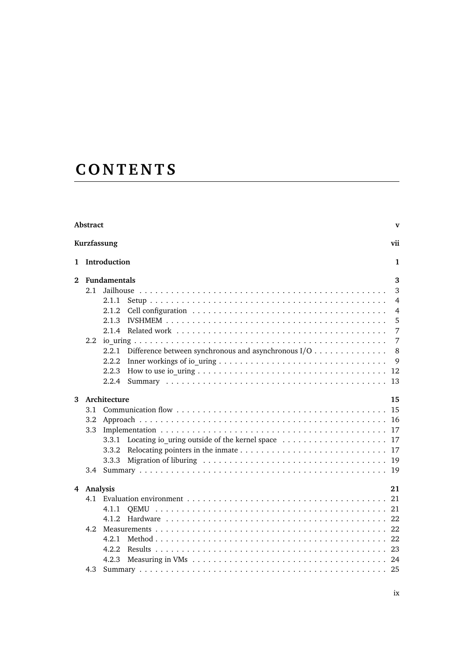# **C O N T E N T S**

|                          | Abstract |                                                                                              |  |  |  |   | $\mathbf{v}$   |
|--------------------------|----------|----------------------------------------------------------------------------------------------|--|--|--|---|----------------|
|                          |          | Kurzfassung                                                                                  |  |  |  |   | vii            |
| 1                        |          | Introduction                                                                                 |  |  |  |   | 1              |
| $\mathbf{2}$             |          | <b>Fundamentals</b>                                                                          |  |  |  | 3 |                |
|                          | 2.1      |                                                                                              |  |  |  |   | 3              |
|                          |          | 2.1.1                                                                                        |  |  |  |   | 4              |
|                          |          | 2.1.2                                                                                        |  |  |  |   | $\overline{4}$ |
|                          |          | 2.1.3                                                                                        |  |  |  |   | 5              |
|                          |          | 2.1.4                                                                                        |  |  |  |   | 7              |
|                          | 2.2      |                                                                                              |  |  |  |   | 7              |
|                          |          | Difference between synchronous and asynchronous I/O<br>2.2.1                                 |  |  |  |   | 8              |
|                          |          | 2.2.2                                                                                        |  |  |  |   | 9              |
|                          |          | 2.2.3                                                                                        |  |  |  |   | 12             |
|                          |          | 2.2.4                                                                                        |  |  |  |   | 13             |
|                          |          |                                                                                              |  |  |  |   | 15             |
| Architecture<br>3<br>3.1 |          |                                                                                              |  |  |  |   | 15             |
|                          | 3.2      |                                                                                              |  |  |  |   | 16             |
|                          |          |                                                                                              |  |  |  |   | 17             |
|                          | 3.3      |                                                                                              |  |  |  |   |                |
|                          |          | Locating io uring outside of the kernel space $\dots \dots \dots \dots \dots \dots$<br>3.3.1 |  |  |  |   | 17             |
|                          |          | 3.3.2                                                                                        |  |  |  |   | 17             |
|                          |          | 3.3.3                                                                                        |  |  |  |   | 19             |
|                          |          |                                                                                              |  |  |  |   | 19             |
| 4                        |          | Analysis                                                                                     |  |  |  |   | 21             |
|                          |          |                                                                                              |  |  |  |   | 21             |
|                          |          | 4.1.1                                                                                        |  |  |  |   | 21             |
|                          |          | 4.1.2.                                                                                       |  |  |  |   | 22             |
|                          | 4.2.     |                                                                                              |  |  |  |   | 22             |
|                          |          | 4.2.1                                                                                        |  |  |  |   | 22             |
|                          |          | 4.2.2.                                                                                       |  |  |  |   | 23             |
|                          |          | 4.2.3                                                                                        |  |  |  |   |                |
|                          | 4.3      |                                                                                              |  |  |  |   |                |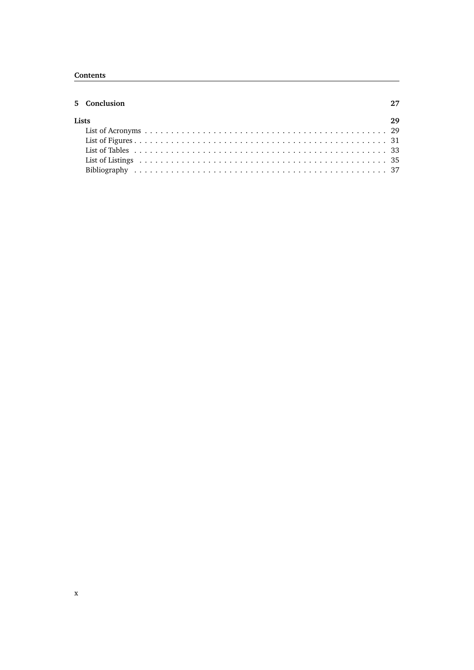#### **Contents**

| 5 Conclusion | 2.7 |
|--------------|-----|
| Lists        | 2.9 |
|              |     |
|              |     |
|              |     |
|              |     |
|              |     |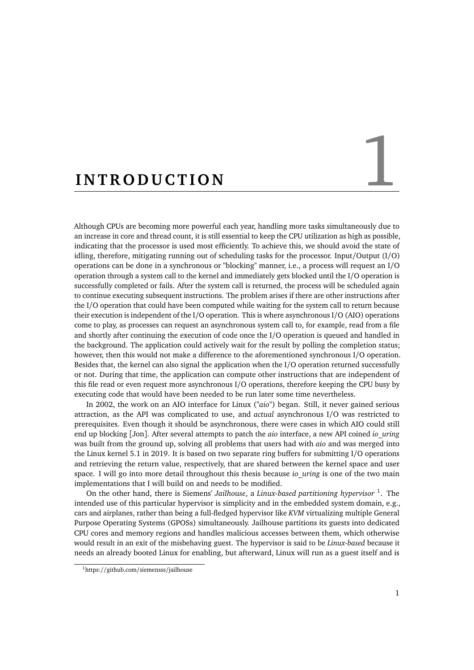# <span id="page-12-0"></span>**INTRODUCTION**

<span id="page-12-3"></span>Although CPUs are becoming more powerful each year, handling more tasks simultaneously due to an increase in core and thread count, it is still essential to keep the CPU utilization as high as possible, indicating that the processor is used most efficiently. To achieve this, we should avoid the state of idling, therefore, mitigating running out of scheduling tasks for the processor. Input/Output (I/[O\)](#page-40-1) operations can be done in a synchronous or "blocking" manner, i.e., a process will request an I/O operation through a system call to the kernel and immediately gets blocked until the I/O operation is successfully completed or fails. After the system call is returned, the process will be scheduled again to continue executing subsequent instructions. The problem arises if there are other instructions after the I/O operation that could have been computed while waiting for the system call to return because their execution is independent of the I/O operation. This is where asynchronous I/O (AIO) operations come to play, as processes can request an asynchronous system call to, for example, read from a file and shortly after continuing the execution of code once the I/O operation is queued and handled in the background. The application could actively wait for the result by polling the completion status; however, then this would not make a difference to the aforementioned synchronous I/O operation. Besides that, the kernel can also signal the application when the I/O operation returned successfully or not. During that time, the application can compute other instructions that are independent of this file read or even request more asynchronous I/O operations, therefore keeping the CPU busy by executing code that would have been needed to be run later some time nevertheless.

In 2002, the work on an AIO interface for Linux ("*aio*") began. Still, it never gained serious attraction, as the API was complicated to use, and *actual* asynchronous I/O was restricted to prerequisites. Even though it should be asynchronous, there were cases in which AIO could still end up blocking [[Jon](#page-48-1)]. After several attempts to patch the *aio* interface, a new API coined *io\_uring* was built from the ground up, solving all problems that users had with *aio* and was merged into the Linux kernel 5.1 in 2019. It is based on two separate ring buffers for submitting I/O operations and retrieving the return value, respectively, that are shared between the kernel space and user space. I will go into more detail throughout this thesis because *io\_uring* is one of the two main implementations that I will build on and needs to be modified.

On the other hand, there is Siemens' *Jailhouse*, a *Linux-based partitioning hypervisor* [1](#page-12-1) . The intended use of this particular hypervisor is simplicity and in the embedded system domain, e.g., cars and airplanes, rather than being a full-fledged hypervisor like *KVM* virtualizing multiple General Purpose Operating Systems [\(GPOSs](#page-40-0)) simultaneously. Jailhouse partitions its guests into dedicated CPU cores and memory regions and handles malicious accesses between them, which otherwise would result in an exit of the misbehaving guest. The hypervisor is said to be *Linux-based* because it needs an already booted Linux for enabling, but afterward, Linux will run as a guest itself and is

<span id="page-12-2"></span><span id="page-12-1"></span><sup>1</sup>https://github.com/siemensss/jailhouse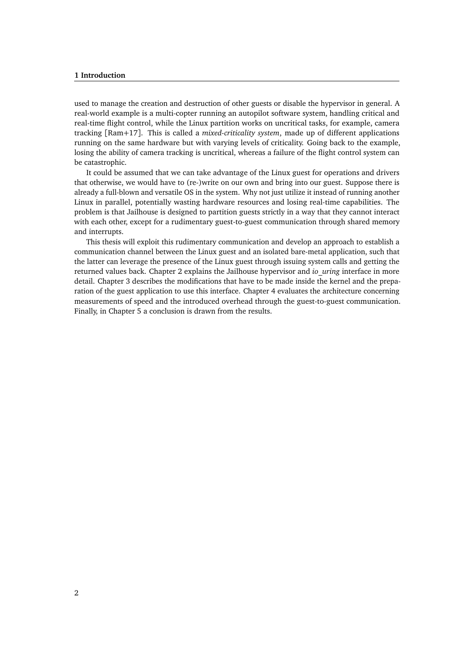#### **1 Introduction**

used to manage the creation and destruction of other guests or disable the hypervisor in general. A real-world example is a multi-copter running an autopilot software system, handling critical and real-time flight control, while the Linux partition works on uncritical tasks, for example, camera tracking [[Ram](#page-48-2)+17]. This is called a *mixed-criticality system*, made up of different applications running on the same hardware but with varying levels of criticality. Going back to the example, losing the ability of camera tracking is uncritical, whereas a failure of the flight control system can be catastrophic.

It could be assumed that we can take advantage of the Linux guest for operations and drivers that otherwise, we would have to (re-)write on our own and bring into our guest. Suppose there is already a full-blown and versatile OS in the system. Why not just utilize it instead of running another Linux in parallel, potentially wasting hardware resources and losing real-time capabilities. The problem is that Jailhouse is designed to partition guests strictly in a way that they cannot interact with each other, except for a rudimentary guest-to-guest communication through shared memory and interrupts.

This thesis will exploit this rudimentary communication and develop an approach to establish a communication channel between the Linux guest and an isolated bare-metal application, such that the latter can leverage the presence of the Linux guest through issuing system calls and getting the returned values back. Chapter [2](#page-14-0) explains the Jailhouse hypervisor and *io\_uring* interface in more detail. Chapter [3](#page-26-0) describes the modifications that have to be made inside the kernel and the preparation of the guest application to use this interface. Chapter [4](#page-32-0) evaluates the architecture concerning measurements of speed and the introduced overhead through the guest-to-guest communication. Finally, in Chapter [5](#page-38-0) a conclusion is drawn from the results.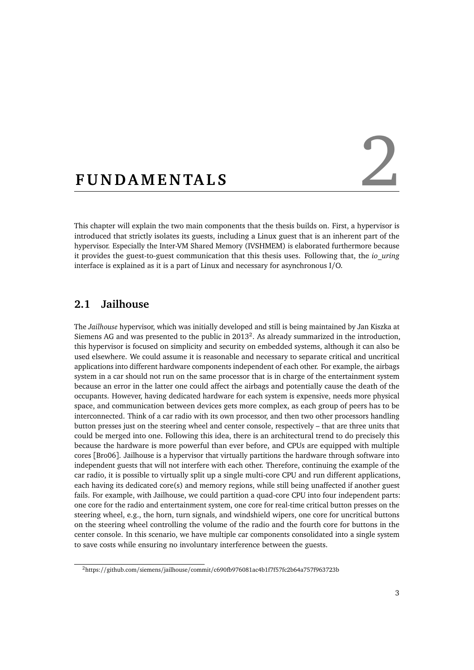# <span id="page-14-0"></span>FUNDAMENTALS

<span id="page-14-4"></span>This chapter will explain the two main components that the thesis builds on. First, a hypervisor is introduced that strictly isolates its guests, including a Linux guest that is an inherent part of the hypervisor. Especially the Inter-VM Shared Memory [\(IVSHMEM\)](#page-40-3) is elaborated furthermore because it provides the guest-to-guest communication that this thesis uses. Following that, the *io\_uring* interface is explained as it is a part of Linux and necessary for asynchronous I/O.

#### <span id="page-14-1"></span>**2.1 Jailhouse**

The *Jailhouse* hypervisor, which was initially developed and still is being maintained by Jan Kiszka at Siemens AG and was presented to the public in  $2013^2$  $2013^2$ . As already summarized in the introduction, this hypervisor is focused on simplicity and security on embedded systems, although it can also be used elsewhere. We could assume it is reasonable and necessary to separate critical and uncritical applications into different hardware components independent of each other. For example, the airbags system in a car should not run on the same processor that is in charge of the entertainment system because an error in the latter one could affect the airbags and potentially cause the death of the occupants. However, having dedicated hardware for each system is expensive, needs more physical space, and communication between devices gets more complex, as each group of peers has to be interconnected. Think of a car radio with its own processor, and then two other processors handling button presses just on the steering wheel and center console, respectively – that are three units that could be merged into one. Following this idea, there is an architectural trend to do precisely this because the hardware is more powerful than ever before, and CPUs are equipped with multiple cores [[Bro06](#page-48-3)]. Jailhouse is a hypervisor that virtually partitions the hardware through software into independent guests that will not interfere with each other. Therefore, continuing the example of the car radio, it is possible to virtually split up a single multi-core CPU and run different applications, each having its dedicated core(s) and memory regions, while still being unaffected if another guest fails. For example, with Jailhouse, we could partition a quad-core CPU into four independent parts: one core for the radio and entertainment system, one core for real-time critical button presses on the steering wheel, e.g., the horn, turn signals, and windshield wipers, one core for uncritical buttons on the steering wheel controlling the volume of the radio and the fourth core for buttons in the center console. In this scenario, we have multiple car components consolidated into a single system to save costs while ensuring no involuntary interference between the guests.

<span id="page-14-3"></span><span id="page-14-2"></span><sup>2</sup>https://github.com/siemens/jailhouse/commit/c690fb976081ac4b1f7f57fc2b64a757f963723b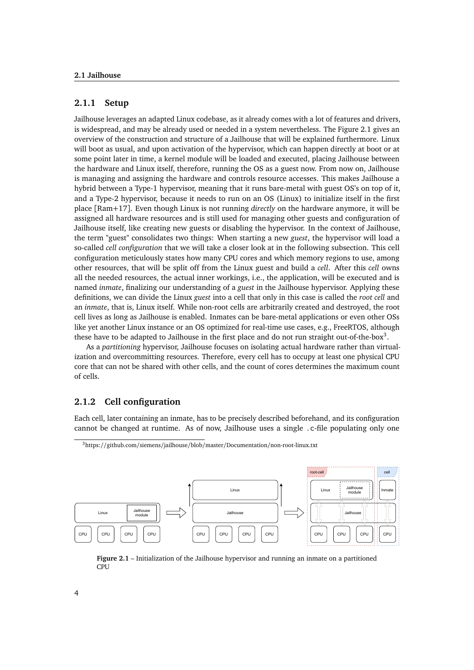#### **2.1.1 Setup**

Jailhouse leverages an adapted Linux codebase, as it already comes with a lot of features and drivers, is widespread, and may be already used or needed in a system nevertheless. The Figure [2.1](#page-15-1) gives an overview of the construction and structure of a Jailhouse that will be explained furthermore. Linux will boot as usual, and upon activation of the hypervisor, which can happen directly at boot or at some point later in time, a kernel module will be loaded and executed, placing Jailhouse between the hardware and Linux itself, therefore, running the OS as a guest now. From now on, Jailhouse is managing and assigning the hardware and controls resource accesses. This makes Jailhouse a hybrid between a Type-1 hypervisor, meaning that it runs bare-metal with guest OS's on top of it, and a Type-2 hypervisor, because it needs to run on an OS (Linux) to initialize itself in the first place [[Ram](#page-48-2)+17]. Even though Linux is not running *directly* on the hardware anymore, it will be assigned all hardware resources and is still used for managing other guests and configuration of Jailhouse itself, like creating new guests or disabling the hypervisor. In the context of Jailhouse, the term "guest" consolidates two things: When starting a new *guest*, the hypervisor will load a so-called *cell configuration* that we will take a closer look at in the following subsection. This cell configuration meticulously states how many CPU cores and which memory regions to use, among other resources, that will be split off from the Linux guest and build a *cell*. After this *cell* owns all the needed resources, the actual inner workings, i.e., the application, will be executed and is named *inmate*, finalizing our understanding of a *guest* in the Jailhouse hypervisor. Applying these definitions, we can divide the Linux *guest* into a cell that only in this case is called the *root cell* and an *inmate*, that is, Linux itself. While non-root cells are arbitrarily created and destroyed, the root cell lives as long as Jailhouse is enabled. Inmates can be bare-metal applications or even other OSs like yet another Linux instance or an OS optimized for real-time use cases, e.g., FreeRTOS, although these have to be adapted to Jailhouse in the first place and do not run straight out-of-the-box<sup>[3](#page-15-2)</sup>.

As a *partitioning* hypervisor, Jailhouse focuses on isolating actual hardware rather than virtualization and overcommitting resources. Therefore, every cell has to occupy at least one physical CPU core that can not be shared with other cells, and the count of cores determines the maximum count of cells.

#### <span id="page-15-0"></span>**2.1.2 Cell configuration**

Each cell, later containing an inmate, has to be precisely described beforehand, and its configuration cannot be changed at runtime. As of now, Jailhouse uses a single .c-file populating only one

<span id="page-15-2"></span>

<span id="page-15-1"></span>

**Figure 2.1** – Initialization of the Jailhouse hypervisor and running an inmate on a partitioned CPU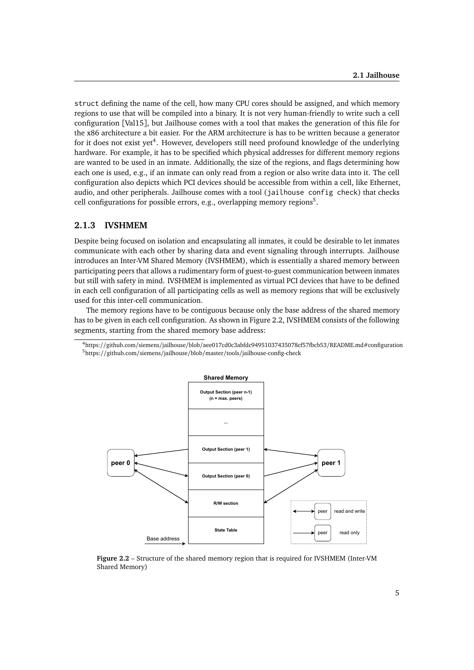struct defining the name of the cell, how many CPU cores should be assigned, and which memory regions to use that will be compiled into a binary. It is not very human-friendly to write such a cell configuration [[Val15](#page-48-4)], but Jailhouse comes with a tool that makes the generation of this file for the x86 architecture a bit easier. For the ARM architecture is has to be written because a generator for it does not exist yet<sup>[4](#page-16-1)</sup>. However, developers still need profound knowledge of the underlying hardware. For example, it has to be specified which physical addresses for different memory regions are wanted to be used in an inmate. Additionally, the size of the regions, and flags determining how each one is used, e.g., if an inmate can only read from a region or also write data into it. The cell configuration also depicts which PCI devices should be accessible from within a cell, like Ethernet, audio, and other peripherals. Jailhouse comes with a tool (jailhouse config check) that checks cell configurations for possible errors, e.g., overlapping memory regions<sup>[5](#page-16-2)</sup>.

#### <span id="page-16-0"></span>**2.1.3 IVSHMEM**

Despite being focused on isolation and encapsulating all inmates, it could be desirable to let inmates communicate with each other by sharing data and event signaling through interrupts. Jailhouse introduces an Inter-VM Shared Memory [\(IVSHMEM\)](#page-40-3), which is essentially a shared memory between participating peers that allows a rudimentary form of guest-to-guest communication between inmates but still with safety in mind. IVSHMEM is implemented as virtual PCI devices that have to be defined in each cell configuration of all participating cells as well as memory regions that will be exclusively used for this inter-cell communication.

The memory regions have to be contiguous because only the base address of the shared memory has to be given in each cell configuration. As shown in Figure [2.2,](#page-16-3) IVSHMEM consists of the following segments, starting from the shared memory base address:

<span id="page-16-2"></span><span id="page-16-1"></span> $^4$ https://github.com/siemens/jailhouse/blob/aee017cd0c3abfdc94951037435078cf57fbcb53/README.md#configuration <sup>5</sup>https://github.com/siemens/jailhouse/blob/master/tools/jailhouse-config-check

<span id="page-16-3"></span>

**Figure 2.2** – Structure of the shared memory region that is required for IVSHMEM (Inter-VM Shared Memory)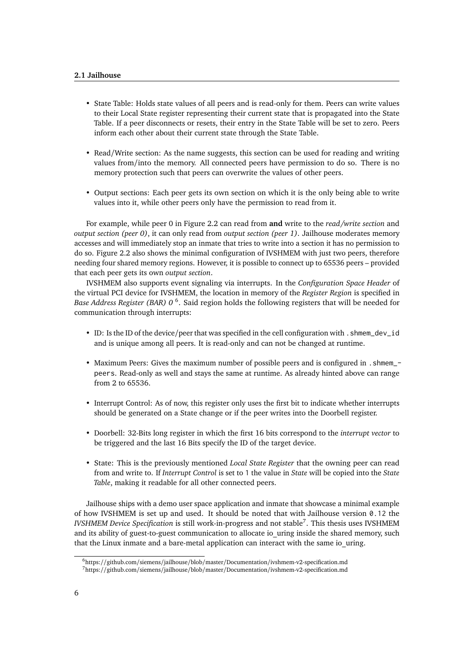- State Table: Holds state values of all peers and is read-only for them. Peers can write values to their Local State register representing their current state that is propagated into the State Table. If a peer disconnects or resets, their entry in the State Table will be set to zero. Peers inform each other about their current state through the State Table.
- Read/Write section: As the name suggests, this section can be used for reading and writing values from/into the memory. All connected peers have permission to do so. There is no memory protection such that peers can overwrite the values of other peers.
- Output sections: Each peer gets its own section on which it is the only being able to write values into it, while other peers only have the permission to read from it.

For example, while peer 0 in Figure [2.2](#page-16-3) can read from **and** write to the *read/write section* and *output section (peer 0)*, it can only read from *output section (peer 1)*. Jailhouse moderates memory accesses and will immediately stop an inmate that tries to write into a section it has no permission to do so. Figure [2.2](#page-16-3) also shows the minimal configuration of IVSHMEM with just two peers, therefore needing four shared memory regions. However, it is possible to connect up to 65536 peers – provided that each peer gets its own *output section*.

<span id="page-17-3"></span>IVSHMEM also supports event signaling via interrupts. In the *Configuration Space Header* of the virtual PCI device for IVSHMEM, the location in memory of the *Register Region* is specified in *Base Address Register [\(BAR\)](#page-40-4) 0* [6](#page-17-1) . Said region holds the following registers that will be needed for communication through interrupts:

- ID: Is the ID of the device/peer that was specified in the cell configuration with .shmem\_dev\_id and is unique among all peers. It is read-only and can not be changed at runtime.
- Maximum Peers: Gives the maximum number of possible peers and is configured in .shmem\_ peers. Read-only as well and stays the same at runtime. As already hinted above can range from 2 to 65536.
- Interrupt Control: As of now, this register only uses the first bit to indicate whether interrupts should be generated on a State change or if the peer writes into the Doorbell register.
- Doorbell: 32-Bits long register in which the first 16 bits correspond to the *interrupt vector* to be triggered and the last 16 Bits specify the ID of the target device.
- State: This is the previously mentioned *Local State Register* that the owning peer can read from and write to. If *Interrupt Control* is set to 1 the value in *State* will be copied into the *State Table*, making it readable for all other connected peers.

Jailhouse ships with a demo user space application and inmate that showcase a minimal example of how IVSHMEM is set up and used. It should be noted that with Jailhouse version 0.12 the *IVSHMEM Device Specification* is still work-in-progress and not stable[7](#page-17-2) . This thesis uses IVSHMEM and its ability of guest-to-guest communication to allocate io uring inside the shared memory, such that the Linux inmate and a bare-metal application can interact with the same io uring.

<span id="page-17-1"></span><span id="page-17-0"></span><sup>6</sup>https://github.com/siemens/jailhouse/blob/master/Documentation/ivshmem-v2-specification.md

<span id="page-17-2"></span><sup>7</sup>https://github.com/siemens/jailhouse/blob/master/Documentation/ivshmem-v2-specification.md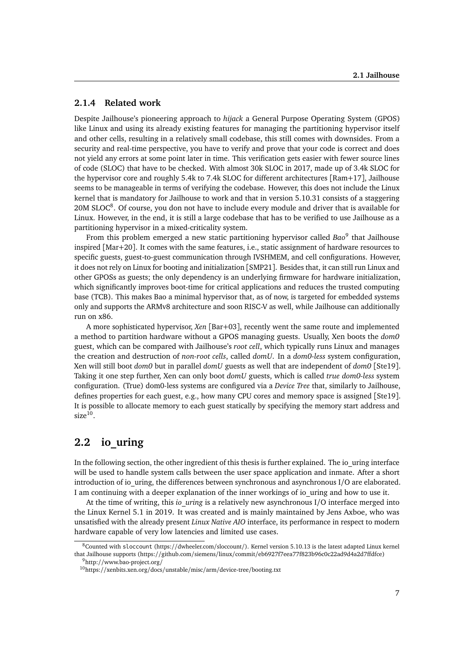#### **2.1.4 Related work**

<span id="page-18-5"></span>Despite Jailhouse's pioneering approach to *hijack* a General Purpose Operating System [\(GPOS\)](#page-40-0) like Linux and using its already existing features for managing the partitioning hypervisor itself and other cells, resulting in a relatively small codebase, this still comes with downsides. From a security and real-time perspective, you have to verify and prove that your code is correct and does not yield any errors at some point later in time. This verification gets easier with fewer source lines of code [\(SLOC\)](#page-40-5) that have to be checked. With almost 30k SLOC in 2017, made up of 3.4k SLOC for the hypervisor core and roughly 5.4k to 7.4k SLOC for different architectures [[Ram](#page-48-2)+17], Jailhouse seems to be manageable in terms of verifying the codebase. However, this does not include the Linux kernel that is mandatory for Jailhouse to work and that in version 5.10.31 consists of a staggering 20M SLOC<sup>[8](#page-18-2)</sup>. Of course, you don not have to include every module and driver that is available for Linux. However, in the end, it is still a large codebase that has to be verified to use Jailhouse as a partitioning hypervisor in a mixed-criticality system.

From this problem emerged a new static partitioning hypervisor called *Bao*<sup>[9](#page-18-3)</sup> that Jailhouse inspired [[Mar](#page-48-5)+20]. It comes with the same features, i.e., static assignment of hardware resources to specific guests, guest-to-guest communication through IVSHMEM, and cell configurations. However, it does not rely on Linux for booting and initialization [[SMP21](#page-48-6)]. Besides that, it can still run Linux and other GPOSs as guests; the only dependency is an underlying firmware for hardware initialization, which significantly improves boot-time for critical applications and reduces the trusted computing base [\(TCB\)](#page-40-6). This makes Bao a minimal hypervisor that, as of now, is targeted for embedded systems only and supports the ARMv8 architecture and soon RISC-V as well, while Jailhouse can additionally run on x86.

<span id="page-18-6"></span>A more sophisticated hypervisor, *Xen* [[Bar](#page-48-7)+03], recently went the same route and implemented a method to partition hardware without a GPOS managing guests. Usually, Xen boots the *dom0* guest, which can be compared with Jailhouse's *root cell*, which typically runs Linux and manages the creation and destruction of *non-root cells*, called *domU*. In a *dom0-less* system configuration, Xen will still boot *dom0* but in parallel *domU* guests as well that are independent of *dom0* [[Ste19](#page-48-8)]. Taking it one step further, Xen can only boot *domU* guests, which is called *true dom0-less* system configuration. (True) dom0-less systems are configured via a *Device Tree* that, similarly to Jailhouse, defines properties for each guest, e.g., how many CPU cores and memory space is assigned [[Ste19](#page-48-8)]. It is possible to allocate memory to each guest statically by specifying the memory start address and  $size<sup>10</sup>$  $size<sup>10</sup>$  $size<sup>10</sup>$ .

#### <span id="page-18-0"></span>**2.2 io\_uring**

In the following section, the other ingredient of this thesis is further explained. The io\_uring interface will be used to handle system calls between the user space application and inmate. After a short introduction of io\_uring, the differences between synchronous and asynchronous I/O are elaborated. I am continuing with a deeper explanation of the inner workings of io\_uring and how to use it.

At the time of writing, this *io\_uring* is a relatively new asynchronous I/O interface merged into the Linux Kernel 5.1 in 2019. It was created and is mainly maintained by Jens Axboe, who was unsatisfied with the already present *Linux Native AIO* interface, its performance in respect to modern hardware capable of very low latencies and limited use cases.

<span id="page-18-2"></span><span id="page-18-1"></span><sup>8</sup>Counted with sloccount (https://dwheeler.com/sloccount/). Kernel version 5.10.13 is the latest adapted Linux kernel that Jailhouse supports (https://github.com/siemens/linux/commit/eb6927f7eea77f823b96c0c22ad9d4a2d7ffdfce)

<span id="page-18-3"></span><sup>9</sup>http://www.bao-project.org/

<span id="page-18-4"></span><sup>10</sup>https://xenbits.xen.org/docs/unstable/misc/arm/device-tree/booting.txt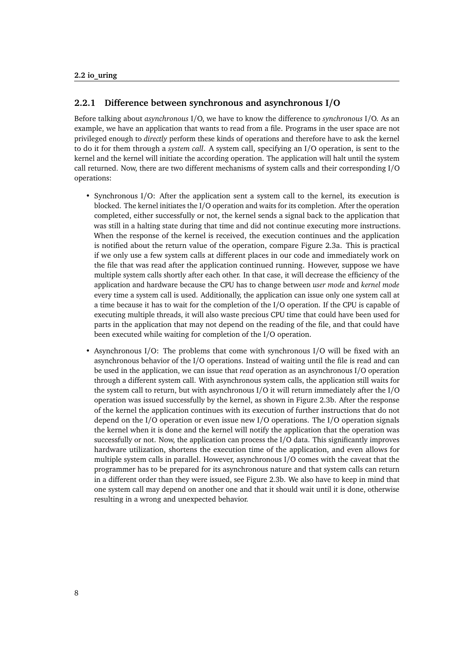#### **2.2.1 Difference between synchronous and asynchronous I/O**

Before talking about *asynchronous* I/O, we have to know the difference to *synchronous* I/O. As an example, we have an application that wants to read from a file. Programs in the user space are not privileged enough to *directly* perform these kinds of operations and therefore have to ask the kernel to do it for them through a *system call*. A system call, specifying an I/O operation, is sent to the kernel and the kernel will initiate the according operation. The application will halt until the system call returned. Now, there are two different mechanisms of system calls and their corresponding I/O operations:

- Synchronous I/O: After the application sent a system call to the kernel, its execution is blocked. The kernel initiates the I/O operation and waits for its completion. After the operation completed, either successfully or not, the kernel sends a signal back to the application that was still in a halting state during that time and did not continue executing more instructions. When the response of the kernel is received, the execution continues and the application is notified about the return value of the operation, compare Figure [2.3a.](#page-20-1) This is practical if we only use a few system calls at different places in our code and immediately work on the file that was read after the application continued running. However, suppose we have multiple system calls shortly after each other. In that case, it will decrease the efficiency of the application and hardware because the CPU has to change between *user mode* and *kernel mode* every time a system call is used. Additionally, the application can issue only one system call at a time because it has to wait for the completion of the I/O operation. If the CPU is capable of executing multiple threads, it will also waste precious CPU time that could have been used for parts in the application that may not depend on the reading of the file, and that could have been executed while waiting for completion of the I/O operation.
- Asynchronous I/O: The problems that come with synchronous I/O will be fixed with an asynchronous behavior of the I/O operations. Instead of waiting until the file is read and can be used in the application, we can issue that *read* operation as an asynchronous I/O operation through a different system call. With asynchronous system calls, the application still waits for the system call to return, but with asynchronous I/O it will return immediately after the I/O operation was issued successfully by the kernel, as shown in Figure [2.3b.](#page-20-1) After the response of the kernel the application continues with its execution of further instructions that do not depend on the I/O operation or even issue new I/O operations. The I/O operation signals the kernel when it is done and the kernel will notify the application that the operation was successfully or not. Now, the application can process the I/O data. This significantly improves hardware utilization, shortens the execution time of the application, and even allows for multiple system calls in parallel. However, asynchronous I/O comes with the caveat that the programmer has to be prepared for its asynchronous nature and that system calls can return in a different order than they were issued, see Figure [2.3b.](#page-20-1) We also have to keep in mind that one system call may depend on another one and that it should wait until it is done, otherwise resulting in a wrong and unexpected behavior.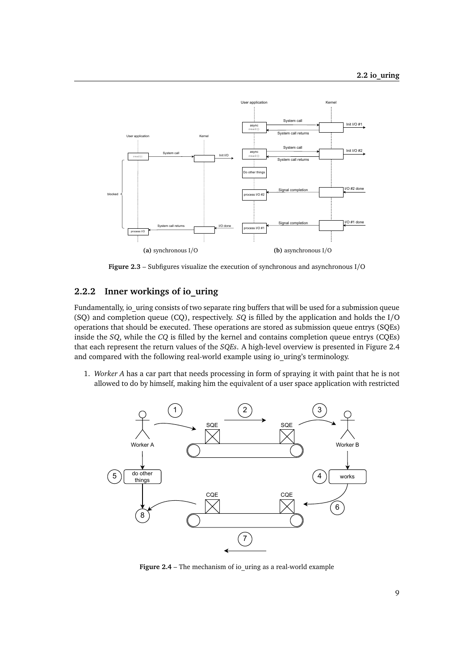<span id="page-20-1"></span>

<span id="page-20-4"></span><span id="page-20-3"></span>**Figure 2.3** – Subfigures visualize the execution of synchronous and asynchronous I/O

#### <span id="page-20-0"></span>**2.2.2 Inner workings of io\_uring**

Fundamentally, io\_uring consists of two separate ring buffers that will be used for a submission queue (SQ) and completion queue (CQ), respectively. *SQ* is filled by the application and holds the I/O operations that should be executed. These operations are stored as submission queue entrys [\(SQEs](#page-40-7)) inside the *SQ*, while the *CQ* is filled by the kernel and contains completion queue entrys [\(CQEs](#page-40-8)) that each represent the return values of the *SQEs*. A high-level overview is presented in Figure [2.4](#page-20-2) and compared with the following real-world example using io\_uring's terminology.

1. *Worker A* has a car part that needs processing in form of spraying it with paint that he is not allowed to do by himself, making him the equivalent of a user space application with restricted

<span id="page-20-2"></span>

**Figure 2.4** – The mechanism of io\_uring as a real-world example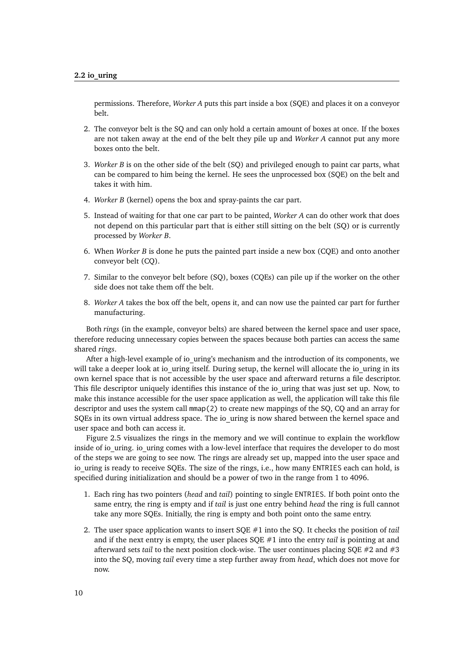permissions. Therefore, *Worker A* puts this part inside a box (SQE) and places it on a conveyor belt.

- 2. The conveyor belt is the SQ and can only hold a certain amount of boxes at once. If the boxes are not taken away at the end of the belt they pile up and *Worker A* cannot put any more boxes onto the belt.
- 3. *Worker B* is on the other side of the belt (SQ) and privileged enough to paint car parts, what can be compared to him being the kernel. He sees the unprocessed box (SQE) on the belt and takes it with him.
- 4. *Worker B* (kernel) opens the box and spray-paints the car part.
- 5. Instead of waiting for that one car part to be painted, *Worker A* can do other work that does not depend on this particular part that is either still sitting on the belt (SQ) or is currently processed by *Worker B*.
- 6. When *Worker B* is done he puts the painted part inside a new box (CQE) and onto another conveyor belt (CQ).
- 7. Similar to the conveyor belt before (SQ), boxes (CQEs) can pile up if the worker on the other side does not take them off the belt.
- 8. *Worker A* takes the box off the belt, opens it, and can now use the painted car part for further manufacturing.

Both *rings* (in the example, conveyor belts) are shared between the kernel space and user space, therefore reducing unnecessary copies between the spaces because both parties can access the same shared *rings*.

After a high-level example of io uring's mechanism and the introduction of its components, we will take a deeper look at io uring itself. During setup, the kernel will allocate the io uring in its own kernel space that is not accessible by the user space and afterward returns a file descriptor. This file descriptor uniquely identifies this instance of the io\_uring that was just set up. Now, to make this instance accessible for the user space application as well, the application will take this file descriptor and uses the system call mmap(2) to create new mappings of the SQ, CQ and an array for SQEs in its own virtual address space. The io\_uring is now shared between the kernel space and user space and both can access it.

Figure [2.5](#page-22-0) visualizes the rings in the memory and we will continue to explain the workflow inside of io\_uring. io\_uring comes with a low-level interface that requires the developer to do most of the steps we are going to see now. The rings are already set up, mapped into the user space and io uring is ready to receive SQEs. The size of the rings, i.e., how many ENTRIES each can hold, is specified during initialization and should be a power of two in the range from 1 to 4096.

- 1. Each ring has two pointers (*head* and *tail*) pointing to single ENTRIES. If both point onto the same entry, the ring is empty and if *tail* is just one entry behind *head* the ring is full cannot take any more SQEs. Initially, the ring is empty and both point onto the same entry.
- 2. The user space application wants to insert SQE #1 into the SQ. It checks the position of *tail* and if the next entry is empty, the user places SQE #1 into the entry *tail* is pointing at and afterward sets *tail* to the next position clock-wise. The user continues placing SQE #2 and #3 into the SQ, moving *tail* every time a step further away from *head*, which does not move for now.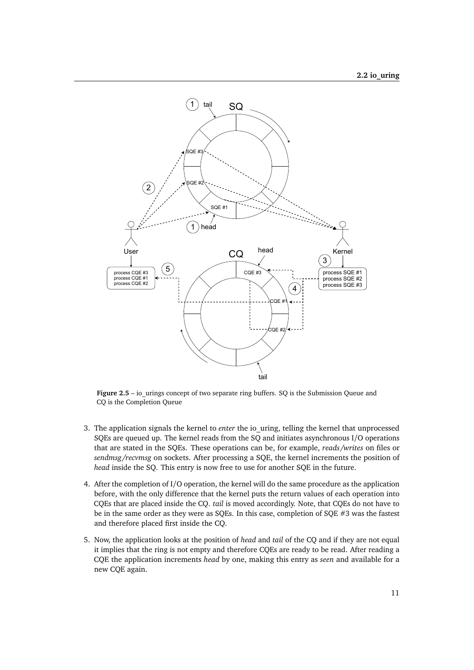<span id="page-22-0"></span>

**Figure 2.5** – io urings concept of two separate ring buffers. SQ is the Submission Queue and CQ is the Completion Queue

- 3. The application signals the kernel to *enter* the io\_uring, telling the kernel that unprocessed SQEs are queued up. The kernel reads from the SQ and initiates asynchronous I/O operations that are stated in the SQEs. These operations can be, for example, *reads/writes* on files or *sendmsg/recvmsg* on sockets. After processing a SQE, the kernel increments the position of *head* inside the SQ. This entry is now free to use for another SQE in the future.
- 4. After the completion of I/O operation, the kernel will do the same procedure as the application before, with the only difference that the kernel puts the return values of each operation into CQEs that are placed inside the CQ. *tail* is moved accordingly. Note, that CQEs do not have to be in the same order as they were as SQEs. In this case, completion of SQE #3 was the fastest and therefore placed first inside the CQ.
- 5. Now, the application looks at the position of *head* and *tail* of the CQ and if they are not equal it implies that the ring is not empty and therefore CQEs are ready to be read. After reading a CQE the application increments *head* by one, making this entry as *seen* and available for a new CQE again.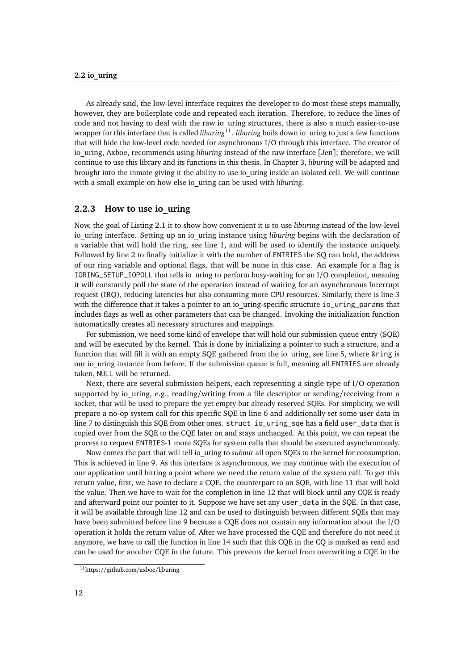As already said, the low-level interface requires the developer to do most these steps manually, however, they are boilerplate code and repeated each iteration. Therefore, to reduce the lines of code and not having to deal with the raw io uring structures, there is also a much easier-to-use wrapper for this interface that is called *liburing*<sup>[11](#page-23-1)</sup>. *liburing* boils down io\_uring to just a few functions that will hide the low-level code needed for asynchronous I/O through this interface. The creator of io uring, Axboe, recommends using *liburing* instead of the raw interface [[Jen](#page-48-9)]; therefore, we will continue to use this library and its functions in this thesis. In Chapter [3,](#page-26-0) *liburing* will be adapted and brought into the inmate giving it the ability to use io\_uring inside an isolated cell. We will continue with a small example on how else io\_uring can be used with *liburing*.

#### <span id="page-23-0"></span>**2.2.3 How to use io\_uring**

Now, the goal of Listing [2.1](#page-24-1) it to show how convenient it is to use *liburing* instead of the low-level io uring interface. Setting up an io uring instance using *liburing* begins with the declaration of a variable that will hold the ring, see line [1,](#page-24-2) and will be used to identify the instance uniquely. Followed by line [2](#page-24-3) to finally initialize it with the number of ENTRIES the SQ can hold, the address of our ring variable and optional flags, that will be none in this case. An example for a flag is IORING\_SETUP\_IOPOLL that tells io\_uring to perform busy-waiting for an I/O completion, meaning it will constantly poll the state of the operation instead of waiting for an asynchronous Interrupt request [\(IRQ\)](#page-40-9), reducing latencies but also consuming more CPU resources. Similarly, there is line [3](#page-24-4) with the difference that it takes a pointer to an io uring-specific structure io\_uring\_params that includes flags as well as other parameters that can be changed. Invoking the initialization function automatically creates all necessary structures and mappings.

<span id="page-23-2"></span>For submission, we need some kind of envelope that will hold our submission queue entry [\(SQE\)](#page-40-7) and will be executed by the kernel. This is done by initializing a pointer to such a structure, and a function that will fill it with an empty SQE gathered from the io\_uring, see line [5,](#page-24-5) where &ring is our io uring instance from before. If the submission queue is full, meaning all ENTRIES are already taken, NULL will be returned.

Next, there are several submission helpers, each representing a single type of I/O operation supported by io\_uring, e.g., reading/writing from a file descriptor or sending/receiving from a socket, that will be used to prepare the yet empty but already reserved SQEs. For simplicity, we will prepare a no-op system call for this specific SQE in line [6](#page-24-6) and additionally set some user data in line [7](#page-24-7) to distinguish this SQE from other ones. struct io\_uring\_sqe has a field user\_data that is copied over from the SQE to the CQE later on and stays unchanged. At this point, we can repeat the process to request ENTRIES-1 more SQEs for system calls that should be executed asynchronously.

Now comes the part that will tell io\_uring to *submit* all open SQEs to the kernel for consumption. This is achieved in line [9.](#page-24-8) As this interface is asynchronous, we may continue with the execution of our application until hitting a point where we need the return value of the system call. To get this return value, first, we have to declare a CQE, the counterpart to an SQE, with line [11](#page-24-9) that will hold the value. Then we have to wait for the completion in line [12](#page-24-10) that will block until any CQE is ready and afterward point our pointer to it. Suppose we have set any user\_data in the SQE. In that case, it will be available through line [12](#page-24-10) and can be used to distinguish between different SQEs that may have been submitted before line [9](#page-24-8) because a CQE does not contain any information about the I/O operation it holds the return value of. After we have processed the CQE and therefore do not need it anymore, we have to call the function in line [14](#page-24-11) such that this CQE in the CQ is marked as read and can be used for another CQE in the future. This prevents the kernel from overwriting a CQE in the

<span id="page-23-1"></span><sup>11</sup>https://github.com/axboe/liburing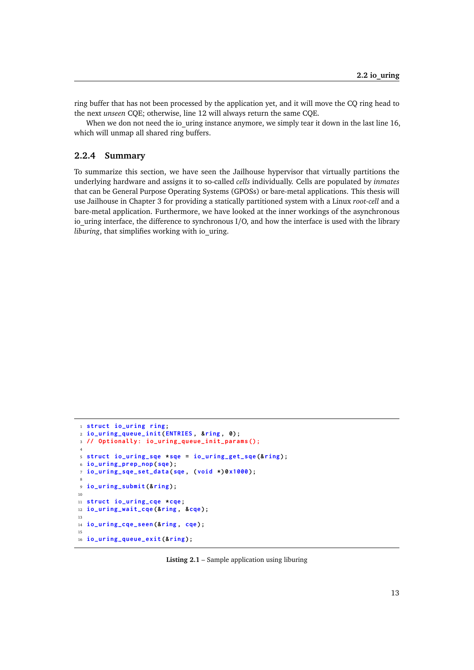ring buffer that has not been processed by the application yet, and it will move the CQ ring head to the next *unseen* CQE; otherwise, line [12](#page-24-10) will always return the same CQE.

When we don not need the io uring instance anymore, we simply tear it down in the last line [16,](#page-24-12) which will unmap all shared ring buffers.

#### <span id="page-24-0"></span>**2.2.4 Summary**

To summarize this section, we have seen the Jailhouse hypervisor that virtually partitions the underlying hardware and assigns it to so-called *cells* individually. Cells are populated by *inmates* that can be General Purpose Operating Systems [\(GPOSs](#page-40-0)) or bare-metal applications. This thesis will use Jailhouse in Chapter [3](#page-26-0) for providing a statically partitioned system with a Linux *root-cell* and a bare-metal application. Furthermore, we have looked at the inner workings of the asynchronous io\_uring interface, the difference to synchronous I/O, and how the interface is used with the library *liburing*, that simplifies working with io\_uring.

```
1 struct io_uring ring ;
2 io_uring_queue_init ( ENTRIES , &ring , 0) ;
3 // Optionally : io_uring_queue_init_params ();
4
5 struct io_uring_sqe * sqe = io_uring_get_sqe (& ring ) ;
6 io_uring_prep_nop ( sqe) ;
7 io_uring_sqe_set_data (sqe , ( void *) 0 x1000 ) ;
8
9 io_uring_submit (& ring ) ;
10
11 struct io_uring_cqe * cqe;
12 io_uring_wait_cqe (& ring , &cqe) ;
13
14 io_uring_cqe_seen (& ring , cqe) ;
15
16 io_uring_queue_exit (& ring ) ;
```
<span id="page-24-12"></span><span id="page-24-11"></span>**Listing 2.1** – Sample application using liburing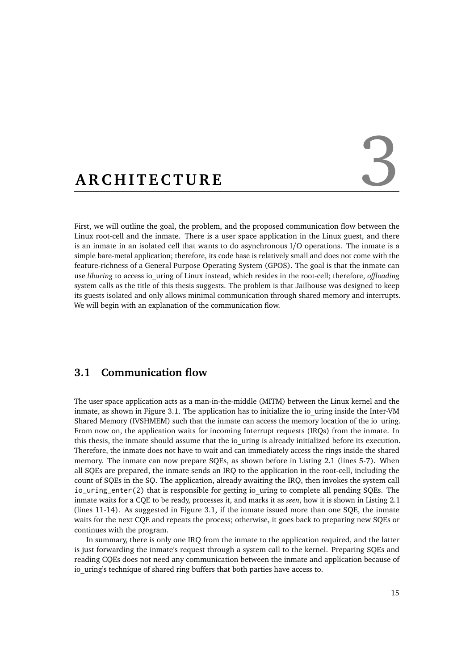# <span id="page-26-0"></span>ARCHITECTURE

First, we will outline the goal, the problem, and the proposed communication flow between the Linux root-cell and the inmate. There is a user space application in the Linux guest, and there is an inmate in an isolated cell that wants to do asynchronous I/O operations. The inmate is a simple bare-metal application; therefore, its code base is relatively small and does not come with the feature-richness of a General Purpose Operating System [\(GPOS\)](#page-40-0). The goal is that the inmate can use *liburing* to access io\_uring of Linux instead, which resides in the root-cell; therefore, *offloading* system calls as the title of this thesis suggests. The problem is that Jailhouse was designed to keep its guests isolated and only allows minimal communication through shared memory and interrupts. We will begin with an explanation of the communication flow.

#### <span id="page-26-1"></span>**3.1 Communication flow**

<span id="page-26-3"></span>The user space application acts as a man-in-the-middle [\(MITM\)](#page-40-10) between the Linux kernel and the inmate, as shown in Figure [3.1.](#page-27-0) The application has to initialize the io\_uring inside the Inter-VM Shared Memory [\(IVSHMEM\)](#page-40-3) such that the inmate can access the memory location of the io\_uring. From now on, the application waits for incoming Interrupt requests [\(IRQs](#page-40-9)) from the inmate. In this thesis, the inmate should assume that the io\_uring is already initialized before its execution. Therefore, the inmate does not have to wait and can immediately access the rings inside the shared memory. The inmate can now prepare SQEs, as shown before in Listing [2.1](#page-24-1) (lines [5-](#page-24-5)[7\)](#page-24-7). When all SQEs are prepared, the inmate sends an IRQ to the application in the root-cell, including the count of SQEs in the SQ. The application, already awaiting the IRQ, then invokes the system call io\_uring\_enter(2) that is responsible for getting io\_uring to complete all pending SQEs. The inmate waits for a CQE to be ready, processes it, and marks it as *seen*, how it is shown in Listing [2.1](#page-24-1) (lines [11-](#page-24-9)[14\)](#page-24-11). As suggested in Figure [3.1,](#page-27-0) if the inmate issued more than one SQE, the inmate waits for the next CQE and repeats the process; otherwise, it goes back to preparing new SQEs or continues with the program.

<span id="page-26-2"></span>In summary, there is only one IRQ from the inmate to the application required, and the latter is just forwarding the inmate's request through a system call to the kernel. Preparing SQEs and reading CQEs does not need any communication between the inmate and application because of io uring's technique of shared ring buffers that both parties have access to.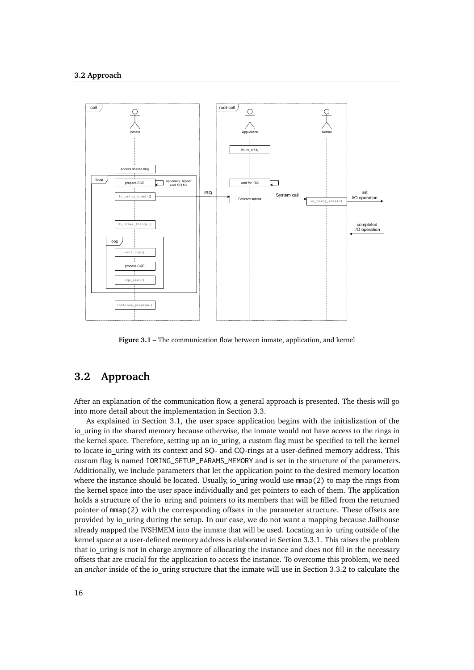<span id="page-27-0"></span>

**Figure 3.1** – The communication flow between inmate, application, and kernel

#### **3.2 Approach**

After an explanation of the communication flow, a general approach is presented. The thesis will go into more detail about the implementation in Section [3.3.](#page-28-0)

As explained in Section [3.1,](#page-26-1) the user space application begins with the initialization of the io uring in the shared memory because otherwise, the inmate would not have access to the rings in the kernel space. Therefore, setting up an io uring, a custom flag must be specified to tell the kernel to locate io uring with its context and SO- and CO-rings at a user-defined memory address. This custom flag is named IORING\_SETUP\_PARAMS\_MEMORY and is set in the structure of the parameters. Additionally, we include parameters that let the application point to the desired memory location where the instance should be located. Usually, io uring would use  $mmap(2)$  to map the rings from the kernel space into the user space individually and get pointers to each of them. The application holds a structure of the io uring and pointers to its members that will be filled from the returned pointer of mmap(2) with the corresponding offsets in the parameter structure. These offsets are provided by io\_uring during the setup. In our case, we do not want a mapping because Jailhouse already mapped the IVSHMEM into the inmate that will be used. Locating an io uring outside of the kernel space at a user-defined memory address is elaborated in Section [3.3.1.](#page-28-1) This raises the problem that io uring is not in charge anymore of allocating the instance and does not fill in the necessary offsets that are crucial for the application to access the instance. To overcome this problem, we need an *anchor* inside of the io uring structure that the inmate will use in Section [3.3.2](#page-28-2) to calculate the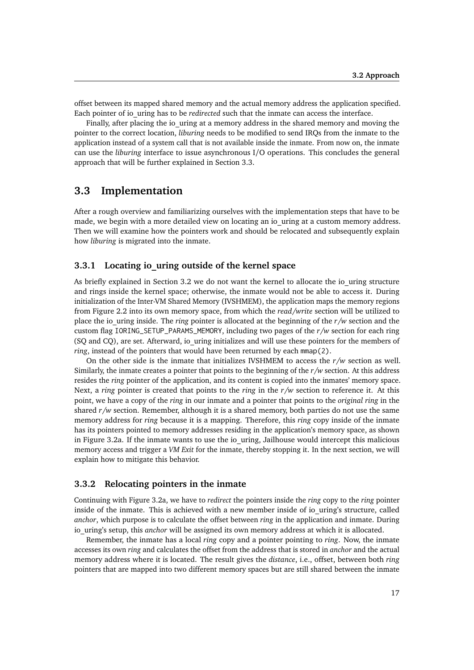offset between its mapped shared memory and the actual memory address the application specified. Each pointer of io\_uring has to be *redirected* such that the inmate can access the interface.

Finally, after placing the io uring at a memory address in the shared memory and moving the pointer to the correct location, *liburing* needs to be modified to send IRQs from the inmate to the application instead of a system call that is not available inside the inmate. From now on, the inmate can use the *liburing* interface to issue asynchronous I/O operations. This concludes the general approach that will be further explained in Section [3.3.](#page-28-0)

#### <span id="page-28-0"></span>**3.3 Implementation**

After a rough overview and familiarizing ourselves with the implementation steps that have to be made, we begin with a more detailed view on locating an io uring at a custom memory address. Then we will examine how the pointers work and should be relocated and subsequently explain how *liburing* is migrated into the inmate.

#### <span id="page-28-1"></span>**3.3.1 Locating io\_uring outside of the kernel space**

As briefly explained in Section [3.2](#page-26-2) we do not want the kernel to allocate the io uring structure and rings inside the kernel space; otherwise, the inmate would not be able to access it. During initialization of the Inter-VM Shared Memory [\(IVSHMEM\)](#page-40-3), the application maps the memory regions from Figure [2.2](#page-16-3) into its own memory space, from which the *read/write* section will be utilized to place the io\_uring inside. The *ring* pointer is allocated at the beginning of the *r/w* section and the custom flag IORING\_SETUP\_PARAMS\_MEMORY, including two pages of the *r/w* section for each ring (SQ and CQ), are set. Afterward, io uring initializes and will use these pointers for the members of *ring*, instead of the pointers that would have been returned by each mmap(2).

On the other side is the inmate that initializes IVSHMEM to access the *r/w* section as well. Similarly, the inmate creates a pointer that points to the beginning of the *r/w* section. At this address resides the *ring* pointer of the application, and its content is copied into the inmates' memory space. Next, a *ring* pointer is created that points to the *ring* in the *r/w* section to reference it. At this point, we have a copy of the *ring* in our inmate and a pointer that points to the *original ring* in the shared  $r/w$  section. Remember, although it is a shared memory, both parties do not use the same memory address for *ring* because it is a mapping. Therefore, this *ring* copy inside of the inmate has its pointers pointed to memory addresses residing in the application's memory space, as shown in Figure [3.2a.](#page-29-0) If the inmate wants to use the io uring, Jailhouse would intercept this malicious memory access and trigger a *VM Exit* for the inmate, thereby stopping it. In the next section, we will explain how to mitigate this behavior.

#### <span id="page-28-2"></span>**3.3.2 Relocating pointers in the inmate**

Continuing with Figure [3.2a,](#page-29-0) we have to *redirect* the pointers inside the *ring* copy to the *ring* pointer inside of the inmate. This is achieved with a new member inside of io uring's structure, called *anchor*, which purpose is to calculate the offset between *ring* in the application and inmate. During io uring's setup, this *anchor* will be assigned its own memory address at which it is allocated.

Remember, the inmate has a local *ring* copy and a pointer pointing to *ring*. Now, the inmate accesses its own *ring* and calculates the offset from the address that is stored in *anchor* and the actual memory address where it is located. The result gives the *distance*, i.e., offset, between both *ring* pointers that are mapped into two different memory spaces but are still shared between the inmate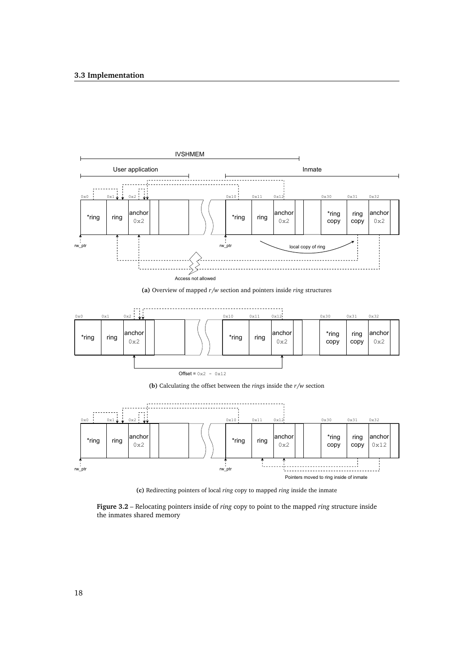#### **3.3 Implementation**

<span id="page-29-0"></span>

**(a)** Overview of mapped *r/w* section and pointers inside *ring* structures



**(b)** Calculating the offset between the *ring*s inside the *r/w* section



**(c)** Redirecting pointers of local *ring* copy to mapped *ring* inside the inmate

**Figure 3.2** – Relocating pointers inside of *ring* copy to point to the mapped *ring* structure inside the inmates shared memory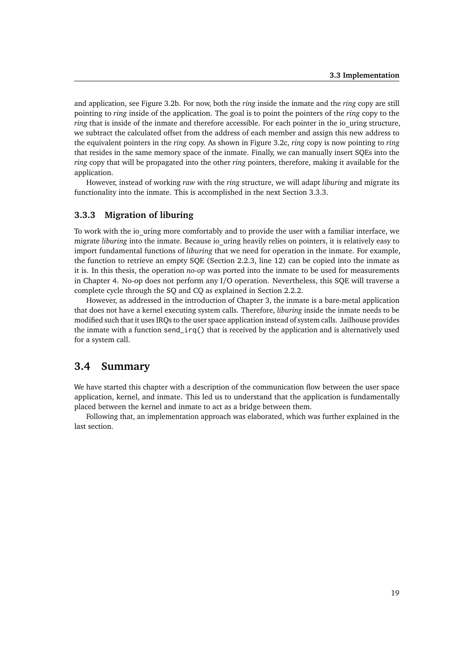and application, see Figure [3.2b.](#page-29-0) For now, both the *ring* inside the inmate and the *ring* copy are still pointing to *ring* inside of the application. The goal is to point the pointers of the *ring* copy to the *ring* that is inside of the inmate and therefore accessible. For each pointer in the io uring structure, we subtract the calculated offset from the address of each member and assign this new address to the equivalent pointers in the *ring* copy. As shown in Figure [3.2c,](#page-29-0) *ring* copy is now pointing to *ring* that resides in the same memory space of the inmate. Finally, we can manually insert SQEs into the *ring* copy that will be propagated into the other *ring* pointers, therefore, making it available for the application.

However, instead of working *raw* with the *ring* structure, we will adapt *liburing* and migrate its functionality into the inmate. This is accomplished in the next Section [3.3.3.](#page-30-0)

#### <span id="page-30-0"></span>**3.3.3 Migration of liburing**

To work with the io uring more comfortably and to provide the user with a familiar interface, we migrate *liburing* into the inmate. Because io uring heavily relies on pointers, it is relatively easy to import fundamental functions of *liburing* that we need for operation in the inmate. For example, the function to retrieve an empty SQE (Section [2.2.3,](#page-23-0) line [12\)](#page-24-10) can be copied into the inmate as it is. In this thesis, the operation *no-op* was ported into the inmate to be used for measurements in Chapter [4.](#page-32-0) No-op does not perform any I/O operation. Nevertheless, this SQE will traverse a complete cycle through the SQ and CQ as explained in Section [2.2.2.](#page-20-0)

However, as addressed in the introduction of Chapter [3,](#page-26-0) the inmate is a bare-metal application that does not have a kernel executing system calls. Therefore, *liburing* inside the inmate needs to be modified such that it uses IRQs to the user space application instead of system calls. Jailhouse provides the inmate with a function send\_irq() that is received by the application and is alternatively used for a system call.

#### <span id="page-30-1"></span>**3.4 Summary**

We have started this chapter with a description of the communication flow between the user space application, kernel, and inmate. This led us to understand that the application is fundamentally placed between the kernel and inmate to act as a bridge between them.

Following that, an implementation approach was elaborated, which was further explained in the last section.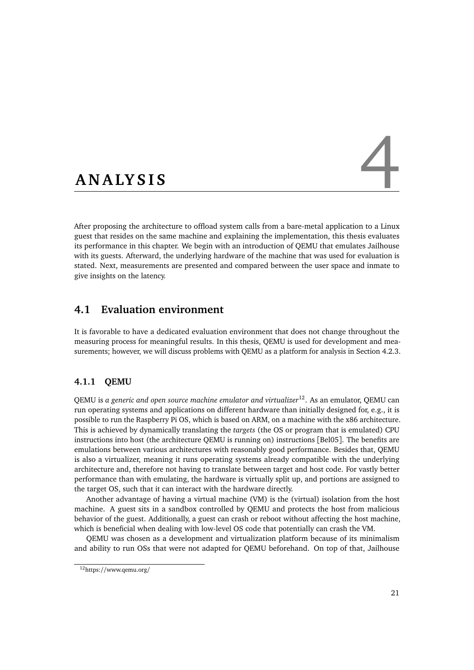# <span id="page-32-0"></span>ANALYSIS

After proposing the architecture to offload system calls from a bare-metal application to a Linux guest that resides on the same machine and explaining the implementation, this thesis evaluates its performance in this chapter. We begin with an introduction of QEMU that emulates Jailhouse with its guests. Afterward, the underlying hardware of the machine that was used for evaluation is stated. Next, measurements are presented and compared between the user space and inmate to give insights on the latency.

### <span id="page-32-1"></span>**4.1 Evaluation environment**

It is favorable to have a dedicated evaluation environment that does not change throughout the measuring process for meaningful results. In this thesis, QEMU is used for development and measurements; however, we will discuss problems with QEMU as a platform for analysis in Section [4.2.3.](#page-35-0)

#### <span id="page-32-2"></span>**4.1.1 QEMU**

QEMU is *a generic and open source machine emulator and virtualizer*[12](#page-32-3). As an emulator, QEMU can run operating systems and applications on different hardware than initially designed for, e.g., it is possible to run the Raspberry Pi OS, which is based on ARM, on a machine with the x86 architecture. This is achieved by dynamically translating the *targets* (the OS or program that is emulated) CPU instructions into host (the architecture QEMU is running on) instructions [[Bel05](#page-48-10)]. The benefits are emulations between various architectures with reasonably good performance. Besides that, QEMU is also a virtualizer, meaning it runs operating systems already compatible with the underlying architecture and, therefore not having to translate between target and host code. For vastly better performance than with emulating, the hardware is virtually split up, and portions are assigned to the target OS, such that it can interact with the hardware directly.

<span id="page-32-4"></span>Another advantage of having a virtual machine [\(VM\)](#page-40-11) is the (virtual) isolation from the host machine. A guest sits in a sandbox controlled by QEMU and protects the host from malicious behavior of the guest. Additionally, a guest can crash or reboot without affecting the host machine, which is beneficial when dealing with low-level OS code that potentially can crash the VM.

QEMU was chosen as a development and virtualization platform because of its minimalism and ability to run OSs that were not adapted for QEMU beforehand. On top of that, Jailhouse

<span id="page-32-3"></span><sup>12</sup>https://www.qemu.org/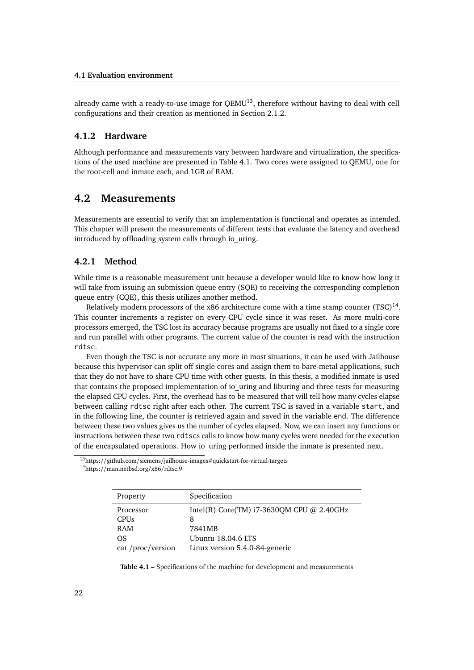#### **4.1 Evaluation environment**

already came with a ready-to-use image for  $OEMU^{13}$  $OEMU^{13}$  $OEMU^{13}$ , therefore without having to deal with cell configurations and their creation as mentioned in Section [2.1.2.](#page-15-0)

#### <span id="page-33-0"></span>**4.1.2 Hardware**

Although performance and measurements vary between hardware and virtualization, the specifications of the used machine are presented in Table [4.1.](#page-33-5) Two cores were assigned to QEMU, one for the root-cell and inmate each, and 1GB of RAM.

#### <span id="page-33-1"></span>**4.2 Measurements**

Measurements are essential to verify that an implementation is functional and operates as intended. This chapter will present the measurements of different tests that evaluate the latency and overhead introduced by offloading system calls through io\_uring.

#### <span id="page-33-2"></span>**4.2.1 Method**

While time is a reasonable measurement unit because a developer would like to know how long it will take from issuing an submission queue entry [\(SQE\)](#page-40-7) to receiving the corresponding completion queue entry [\(CQE\)](#page-40-8), this thesis utilizes another method.

<span id="page-33-7"></span>Relatively modern processors of the x86 architecture come with a time stamp counter  $(TSC)^{14}$  $(TSC)^{14}$  $(TSC)^{14}$  $(TSC)^{14}$ . This counter increments a register on every CPU cycle since it was reset. As more multi-core processors emerged, the TSC lost its accuracy because programs are usually not fixed to a single core and run parallel with other programs. The current value of the counter is read with the instruction rdtsc.

Even though the TSC is not accurate any more in most situations, it can be used with Jailhouse because this hypervisor can split off single cores and assign them to bare-metal applications, such that they do not have to share CPU time with other guests. In this thesis, a modified inmate is used that contains the proposed implementation of io\_uring and liburing and three tests for measuring the elapsed CPU cycles. First, the overhead has to be measured that will tell how many cycles elapse between calling rdtsc right after each other. The current TSC is saved in a variable start, and in the following line, the counter is retrieved again and saved in the variable end. The difference between these two values gives us the number of cycles elapsed. Now, we can insert any functions or instructions between these two rdtscs calls to know how many cycles were needed for the execution of the encapsulated operations. How io\_uring performed inside the inmate is presented next.

<span id="page-33-4"></span><span id="page-33-3"></span><sup>13</sup>https://github.com/siemens/jailhouse-images#quickstart-for-virtual-targets

<span id="page-33-6"></span><span id="page-33-5"></span><sup>14</sup>https://man.netbsd.org/x86/rdtsc.9

| Property          | Specification                                |
|-------------------|----------------------------------------------|
| Processor         | Intel(R) Core(TM) $i7-3630$ OM CPU @ 2.40GHz |
| <b>CPUs</b>       | 8                                            |
| RAM               | 7841MB                                       |
| OS                | Ubuntu 18.04.6 LTS                           |
| cat /proc/version | Linux version 5.4.0-84-generic               |

**Table 4.1** – Specifications of the machine for development and measurements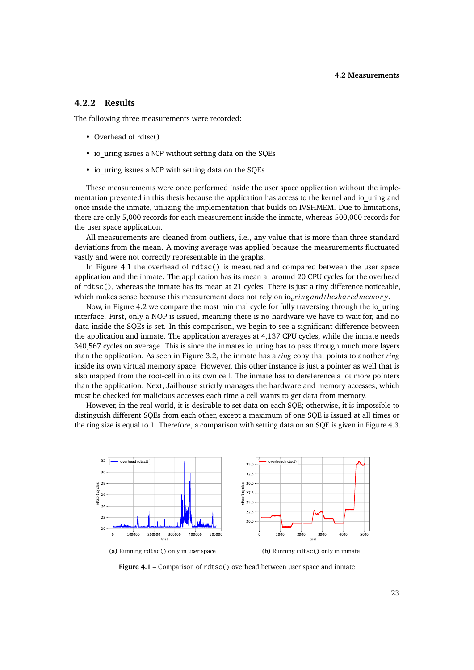#### **4.2.2 Results**

The following three measurements were recorded:

- Overhead of rdtsc()
- io uring issues a NOP without setting data on the SQEs
- io uring issues a NOP with setting data on the SQEs

These measurements were once performed inside the user space application without the implementation presented in this thesis because the application has access to the kernel and io uring and once inside the inmate, utilizing the implementation that builds on IVSHMEM. Due to limitations, there are only 5,000 records for each measurement inside the inmate, whereas 500,000 records for the user space application.

All measurements are cleaned from outliers, i.e., any value that is more than three standard deviations from the mean. A moving average was applied because the measurements fluctuated vastly and were not correctly representable in the graphs.

In Figure [4.1](#page-34-0) the overhead of rdtsc() is measured and compared between the user space application and the inmate. The application has its mean at around 20 CPU cycles for the overhead of rdtsc(), whereas the inmate has its mean at 21 cycles. There is just a tiny difference noticeable, which makes sense because this measurement does not rely on io*<sup>u</sup> ringandthesharedmemor y*.

Now, in Figure [4.2](#page-35-2) we compare the most minimal cycle for fully traversing through the io\_uring interface. First, only a NOP is issued, meaning there is no hardware we have to wait for, and no data inside the SQEs is set. In this comparison, we begin to see a significant difference between the application and inmate. The application averages at 4,137 CPU cycles, while the inmate needs 340,567 cycles on average. This is since the inmates io\_uring has to pass through much more layers than the application. As seen in Figure [3.2,](#page-29-0) the inmate has a *ring* copy that points to another *ring* inside its own virtual memory space. However, this other instance is just a pointer as well that is also mapped from the root-cell into its own cell. The inmate has to dereference a lot more pointers than the application. Next, Jailhouse strictly manages the hardware and memory accesses, which must be checked for malicious accesses each time a cell wants to get data from memory.

However, in the real world, it is desirable to set data on each SQE; otherwise, it is impossible to distinguish different SQEs from each other, except a maximum of one SQE is issued at all times or the ring size is equal to 1. Therefore, a comparison with setting data on an SQE is given in Figure [4.3.](#page-35-3)

<span id="page-34-0"></span>

Figure 4.1 – Comparison of rdtsc() overhead between user space and inmate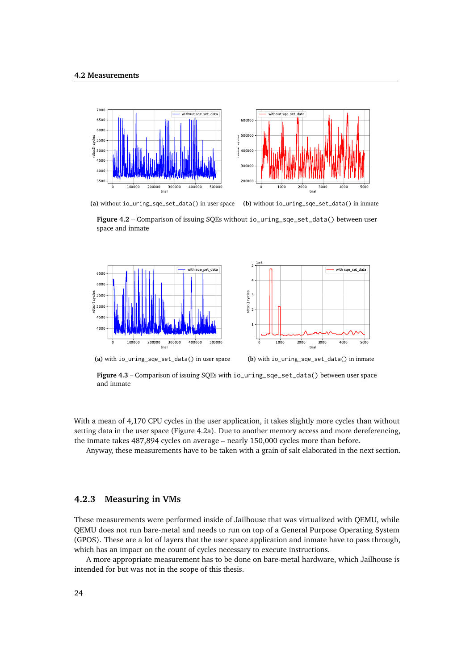<span id="page-35-2"></span>

**(a)** without io\_uring\_sqe\_set\_data() in user space

**(b)** without io\_uring\_sqe\_set\_data() in inmate

**Figure 4.2** – Comparison of issuing SQEs without io\_uring\_sqe\_set\_data() between user space and inmate

<span id="page-35-3"></span>



**(a)** with io\_uring\_sqe\_set\_data() in user space

**(b)** with io\_uring\_sqe\_set\_data() in inmate

**Figure 4.3** – Comparison of issuing SQEs with io\_uring\_sqe\_set\_data() between user space and inmate

With a mean of 4,170 CPU cycles in the user application, it takes slightly more cycles than without setting data in the user space (Figure [4.2a\)](#page-35-2). Due to another memory access and more dereferencing, the inmate takes 487,894 cycles on average – nearly 150,000 cycles more than before.

<span id="page-35-0"></span>Anyway, these measurements have to be taken with a grain of salt elaborated in the next section.

#### **4.2.3 Measuring in VMs**

These measurements were performed inside of Jailhouse that was virtualized with QEMU, while QEMU does not run bare-metal and needs to run on top of a General Purpose Operating System [\(GPOS\)](#page-40-0). These are a lot of layers that the user space application and inmate have to pass through, which has an impact on the count of cycles necessary to execute instructions.

<span id="page-35-1"></span>A more appropriate measurement has to be done on bare-metal hardware, which Jailhouse is intended for but was not in the scope of this thesis.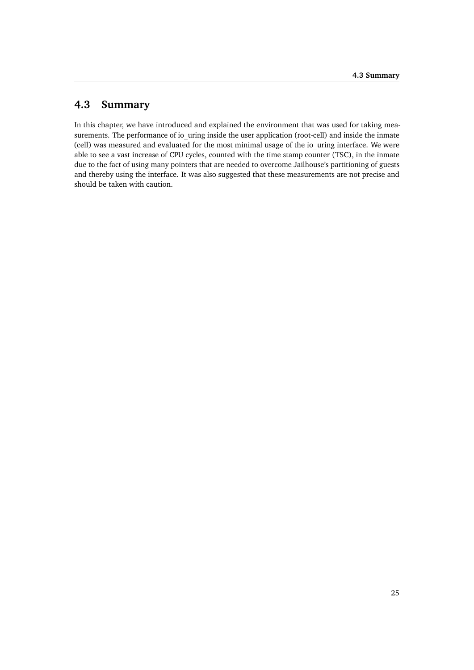### **4.3 Summary**

In this chapter, we have introduced and explained the environment that was used for taking measurements. The performance of io uring inside the user application (root-cell) and inside the inmate (cell) was measured and evaluated for the most minimal usage of the io\_uring interface. We were able to see a vast increase of CPU cycles, counted with the time stamp counter [\(TSC\)](#page-40-12), in the inmate due to the fact of using many pointers that are needed to overcome Jailhouse's partitioning of guests and thereby using the interface. It was also suggested that these measurements are not precise and should be taken with caution.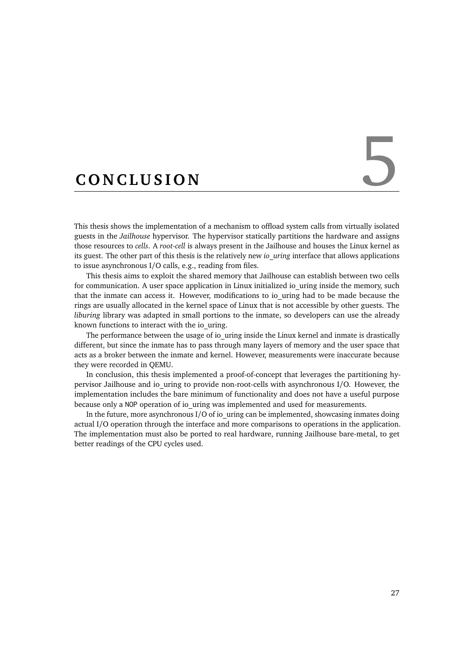# <span id="page-38-0"></span>CONCLUSION

This thesis shows the implementation of a mechanism to offload system calls from virtually isolated guests in the *Jailhouse* hypervisor. The hypervisor statically partitions the hardware and assigns those resources to *cells*. A *root-cell* is always present in the Jailhouse and houses the Linux kernel as its guest. The other part of this thesis is the relatively new *io\_uring* interface that allows applications to issue asynchronous I/O calls, e.g., reading from files.

This thesis aims to exploit the shared memory that Jailhouse can establish between two cells for communication. A user space application in Linux initialized io\_uring inside the memory, such that the inmate can access it. However, modifications to io\_uring had to be made because the rings are usually allocated in the kernel space of Linux that is not accessible by other guests. The *liburing* library was adapted in small portions to the inmate, so developers can use the already known functions to interact with the io\_uring.

The performance between the usage of io uring inside the Linux kernel and inmate is drastically different, but since the inmate has to pass through many layers of memory and the user space that acts as a broker between the inmate and kernel. However, measurements were inaccurate because they were recorded in QEMU.

In conclusion, this thesis implemented a proof-of-concept that leverages the partitioning hypervisor Jailhouse and io uring to provide non-root-cells with asynchronous I/O. However, the implementation includes the bare minimum of functionality and does not have a useful purpose because only a NOP operation of io\_uring was implemented and used for measurements.

In the future, more asynchronous I/O of io uring can be implemented, showcasing inmates doing actual I/O operation through the interface and more comparisons to operations in the application. The implementation must also be ported to real hardware, running Jailhouse bare-metal, to get better readings of the CPU cycles used.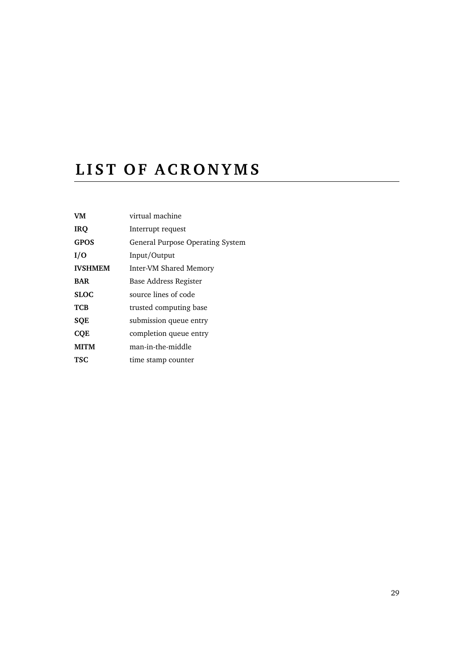# <span id="page-40-2"></span>LIST OF ACRONYMS

<span id="page-40-12"></span><span id="page-40-11"></span><span id="page-40-10"></span><span id="page-40-9"></span><span id="page-40-8"></span><span id="page-40-7"></span><span id="page-40-6"></span><span id="page-40-5"></span><span id="page-40-4"></span><span id="page-40-3"></span><span id="page-40-1"></span><span id="page-40-0"></span>

| virtual machine                  |
|----------------------------------|
| Interrupt request                |
| General Purpose Operating System |
| Input/Output                     |
| Inter-VM Shared Memory           |
| Base Address Register            |
| source lines of code             |
| trusted computing base           |
| submission queue entry           |
| completion queue entry           |
| man-in-the-middle                |
| time stamp counter               |
|                                  |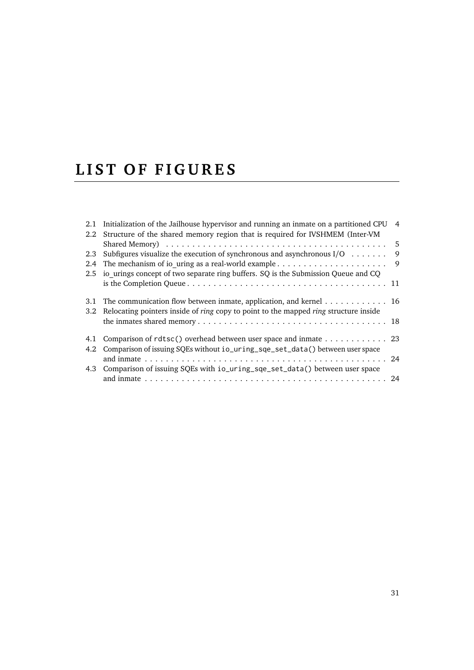# <span id="page-42-0"></span>LIST OF FIGURES

|     | 2.1 Initialization of the Jailhouse hypervisor and running an inmate on a partitioned CPU 4 |      |
|-----|---------------------------------------------------------------------------------------------|------|
| 2.2 | Structure of the shared memory region that is required for IVSHMEM (Inter-VM                |      |
|     |                                                                                             | $-5$ |
| 2.3 | Subfigures visualize the execution of synchronous and asynchronous $I/O \dots \dots$        | 9    |
| 2.4 |                                                                                             | - 9  |
|     | 2.5 io urings concept of two separate ring buffers. SQ is the Submission Queue and CQ       |      |
|     |                                                                                             |      |
| 3.1 | The communication flow between inmate, application, and kernel $\dots \dots \dots \dots$ 16 |      |
| 3.2 | Relocating pointers inside of ring copy to point to the mapped ring structure inside        |      |
|     |                                                                                             |      |
| 4.1 | Comparison of rdtsc() overhead between user space and inmate 23                             |      |
|     | 4.2 Comparison of issuing SQEs without io_uring_sqe_set_data() between user space           |      |
|     |                                                                                             |      |
|     | 4.3 Comparison of issuing SQEs with io_uring_sqe_set_data() between user space              |      |
|     |                                                                                             |      |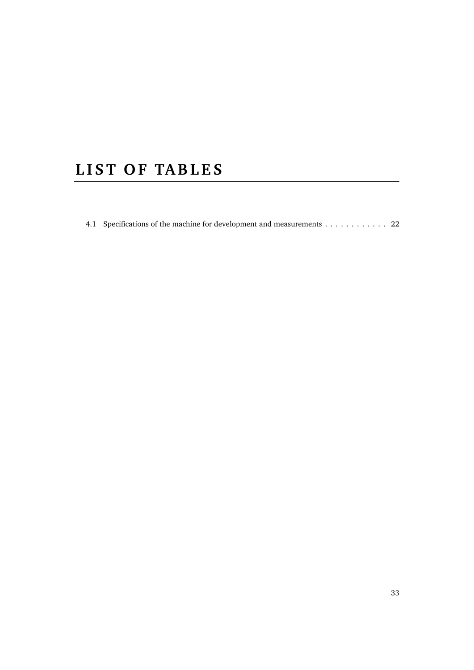# <span id="page-44-0"></span>LIST OF TABLES

[4.1 Specifications of the machine for development and measurements](#page-33-5) . . . . . . . . . . . . 22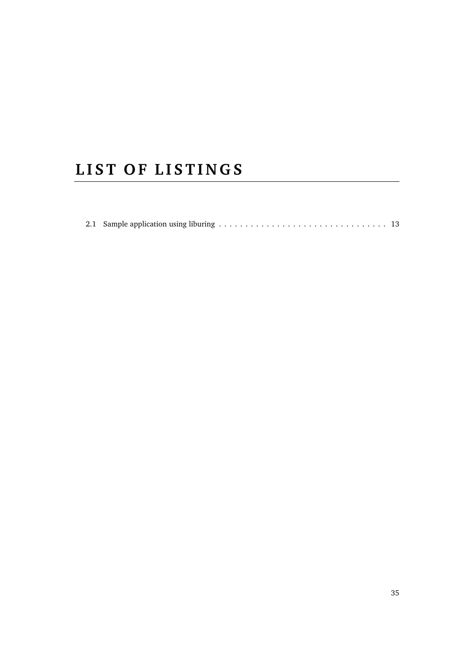# <span id="page-46-0"></span>LIST OF LISTINGS

|--|--|--|--|